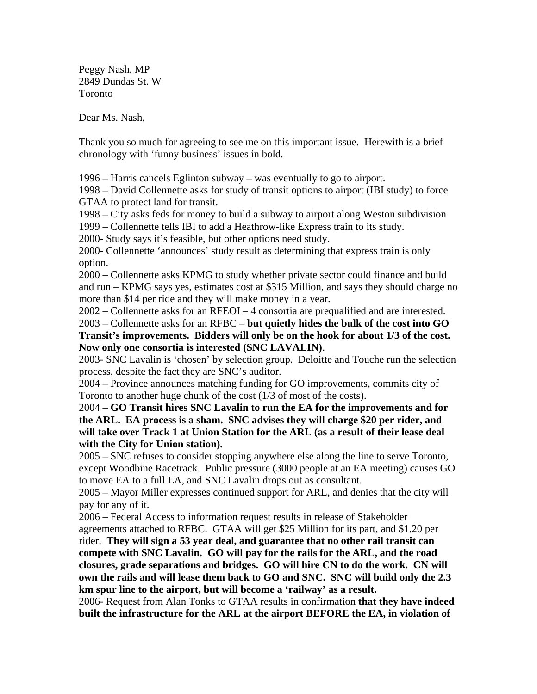Peggy Nash, MP 2849 Dundas St. W Toronto

Dear Ms. Nash,

Thank you so much for agreeing to see me on this important issue. Herewith is a brief chronology with 'funny business' issues in bold.

1996 – Harris cancels Eglinton subway – was eventually to go to airport.

1998 – David Collennette asks for study of transit options to airport (IBI study) to force GTAA to protect land for transit.

1998 – City asks feds for money to build a subway to airport along Weston subdivision

1999 – Collennette tells IBI to add a Heathrow-like Express train to its study.

2000- Study says it's feasible, but other options need study.

2000- Collennette 'announces' study result as determining that express train is only option.

2000 – Collennette asks KPMG to study whether private sector could finance and build and run – KPMG says yes, estimates cost at \$315 Million, and says they should charge no more than \$14 per ride and they will make money in a year.

2002 – Collennette asks for an RFEOI – 4 consortia are prequalified and are interested.

2003 – Collennette asks for an RFBC – **but quietly hides the bulk of the cost into GO Transit's improvements. Bidders will only be on the hook for about 1/3 of the cost. Now only one consortia is interested (SNC LAVALIN)**.

2003- SNC Lavalin is 'chosen' by selection group. Deloitte and Touche run the selection process, despite the fact they are SNC's auditor.

2004 – Province announces matching funding for GO improvements, commits city of Toronto to another huge chunk of the cost (1/3 of most of the costs).

2004 – **GO Transit hires SNC Lavalin to run the EA for the improvements and for the ARL. EA process is a sham. SNC advises they will charge \$20 per rider, and will take over Track 1 at Union Station for the ARL (as a result of their lease deal with the City for Union station).** 

2005 – SNC refuses to consider stopping anywhere else along the line to serve Toronto, except Woodbine Racetrack. Public pressure (3000 people at an EA meeting) causes GO to move EA to a full EA, and SNC Lavalin drops out as consultant.

2005 – Mayor Miller expresses continued support for ARL, and denies that the city will pay for any of it.

2006 – Federal Access to information request results in release of Stakeholder agreements attached to RFBC. GTAA will get \$25 Million for its part, and \$1.20 per rider. **They will sign a 53 year deal, and guarantee that no other rail transit can compete with SNC Lavalin. GO will pay for the rails for the ARL, and the road closures, grade separations and bridges. GO will hire CN to do the work. CN will own the rails and will lease them back to GO and SNC. SNC will build only the 2.3 km spur line to the airport, but will become a 'railway' as a result.**

2006- Request from Alan Tonks to GTAA results in confirmation **that they have indeed built the infrastructure for the ARL at the airport BEFORE the EA, in violation of**